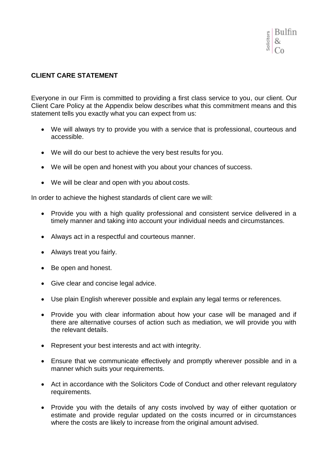

# **CLIENT CARE STATEMENT**

Everyone in our Firm is committed to providing a first class service to you, our client. Our Client Care Policy at the Appendix below describes what this commitment means and this statement tells you exactly what you can expect from us:

- We will always try to provide you with a service that is professional, courteous and accessible.
- We will do our best to achieve the very best results for you.
- We will be open and honest with you about your chances of success.
- We will be clear and open with you about costs.

In order to achieve the highest standards of client care we will:

- Provide you with a high quality professional and consistent service delivered in a timely manner and taking into account your individual needs and circumstances.
- Always act in a respectful and courteous manner.
- Always treat you fairly.
- Be open and honest.
- Give clear and concise legal advice.
- Use plain English wherever possible and explain any legal terms or references.
- Provide you with clear information about how your case will be managed and if there are alternative courses of action such as mediation, we will provide you with the relevant details.
- Represent your best interests and act with integrity.
- Ensure that we communicate effectively and promptly wherever possible and in a manner which suits your requirements.
- Act in accordance with the Solicitors Code of Conduct and other relevant regulatory requirements.
- Provide you with the details of any costs involved by way of either quotation or estimate and provide regular updated on the costs incurred or in circumstances where the costs are likely to increase from the original amount advised.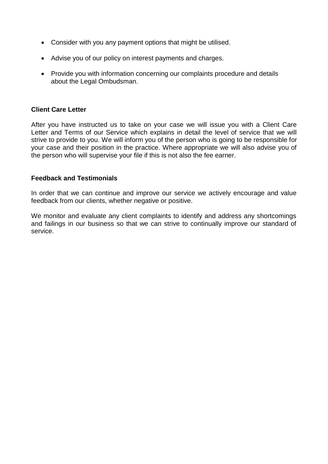- Consider with you any payment options that might be utilised.
- Advise you of our policy on interest payments and charges.
- Provide you with information concerning our complaints procedure and details about the Legal Ombudsman.

## **Client Care Letter**

After you have instructed us to take on your case we will issue you with a Client Care Letter and Terms of our Service which explains in detail the level of service that we will strive to provide to you. We will inform you of the person who is going to be responsible for your case and their position in the practice. Where appropriate we will also advise you of the person who will supervise your file if this is not also the fee earner.

## **Feedback and Testimonials**

In order that we can continue and improve our service we actively encourage and value feedback from our clients, whether negative or positive.

We monitor and evaluate any client complaints to identify and address any shortcomings and failings in our business so that we can strive to continually improve our standard of service.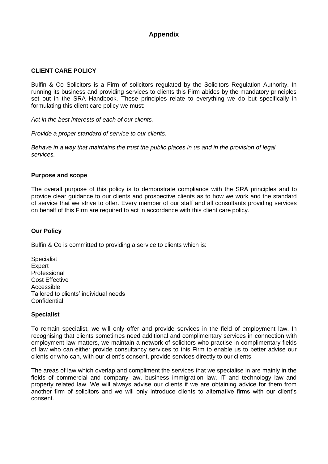# **Appendix**

## **CLIENT CARE POLICY**

Bulfin & Co Solicitors is a Firm of solicitors regulated by the Solicitors Regulation Authority. In running its business and providing services to clients this Firm abides by the mandatory principles set out in the SRA Handbook. These principles relate to everything we do but specifically in formulating this client care policy we must:

*Act in the best interests of each of our clients.* 

*Provide a proper standard of service to our clients.*

*Behave in a way that maintains the trust the public places in us and in the provision of legal services.*

#### **Purpose and scope**

The overall purpose of this policy is to demonstrate compliance with the SRA principles and to provide clear guidance to our clients and prospective clients as to how we work and the standard of service that we strive to offer. Every member of our staff and all consultants providing services on behalf of this Firm are required to act in accordance with this client care policy.

## **Our Policy**

Bulfin & Co is committed to providing a service to clients which is:

Specialist **Expert** Professional Cost Effective Accessible Tailored to clients' individual needs **Confidential** 

#### **Specialist**

To remain specialist, we will only offer and provide services in the field of employment law. In recognising that clients sometimes need additional and complimentary services in connection with employment law matters, we maintain a network of solicitors who practise in complimentary fields of law who can either provide consultancy services to this Firm to enable us to better advise our clients or who can, with our client's consent, provide services directly to our clients.

The areas of law which overlap and compliment the services that we specialise in are mainly in the fields of commercial and company law, business immigration law, IT and technology law and property related law. We will always advise our clients if we are obtaining advice for them from another firm of solicitors and we will only introduce clients to alternative firms with our client's consent.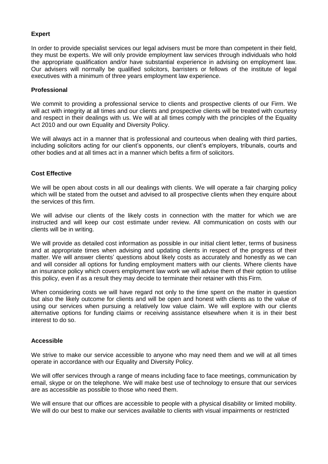## **Expert**

In order to provide specialist services our legal advisers must be more than competent in their field, they must be experts. We will only provide employment law services through individuals who hold the appropriate qualification and/or have substantial experience in advising on employment law. Our advisers will normally be qualified solicitors, barristers or fellows of the institute of legal executives with a minimum of three years employment law experience.

#### **Professional**

We commit to providing a professional service to clients and prospective clients of our Firm. We will act with integrity at all times and our clients and prospective clients will be treated with courtesy and respect in their dealings with us. We will at all times comply with the principles of the Equality Act 2010 and our own Equality and Diversity Policy.

We will always act in a manner that is professional and courteous when dealing with third parties, including solicitors acting for our client's opponents, our client's employers, tribunals, courts and other bodies and at all times act in a manner which befits a firm of solicitors.

## **Cost Effective**

We will be open about costs in all our dealings with clients. We will operate a fair charging policy which will be stated from the outset and advised to all prospective clients when they enquire about the services of this firm.

We will advise our clients of the likely costs in connection with the matter for which we are instructed and will keep our cost estimate under review. All communication on costs with our clients will be in writing.

We will provide as detailed cost information as possible in our initial client letter, terms of business and at appropriate times when advising and updating clients in respect of the progress of their matter. We will answer clients' questions about likely costs as accurately and honestly as we can and will consider all options for funding employment matters with our clients. Where clients have an insurance policy which covers employment law work we will advise them of their option to utilise this policy, even if as a result they may decide to terminate their retainer with this Firm.

When considering costs we will have regard not only to the time spent on the matter in question but also the likely outcome for clients and will be open and honest with clients as to the value of using our services when pursuing a relatively low value claim. We will explore with our clients alternative options for funding claims or receiving assistance elsewhere when it is in their best interest to do so.

#### **Accessible**

We strive to make our service accessible to anyone who may need them and we will at all times operate in accordance with our Equality and Diversity Policy.

We will offer services through a range of means including face to face meetings, communication by email, skype or on the telephone. We will make best use of technology to ensure that our services are as accessible as possible to those who need them.

We will ensure that our offices are accessible to people with a physical disability or limited mobility. We will do our best to make our services available to clients with visual impairments or restricted